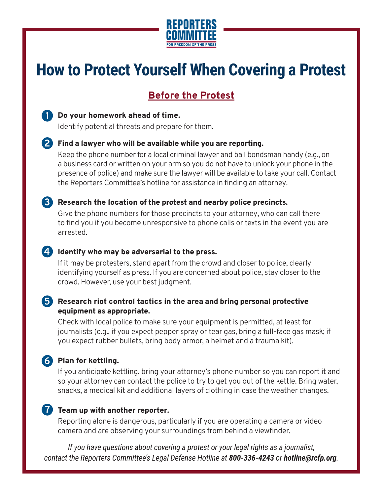

# **How to Protect Yourself When Covering a Protest**

## **Before the Protest**



#### Do your homework ahead of time. **1**

Identify potential threats and prepare for them.

#### Find a lawyer who will be available while you are reporting. **2**

Keep the phone number for a local criminal lawyer and bail bondsman handy (e.g., on a business card or written on your arm so you do not have to unlock your phone in the presence of police) and make sure the lawyer will be available to take your call. Contact the Reporters Committee's hotline for assistance in finding an attorney.

#### Research the location of the protest and nearby police precincts. **3**

Give the phone numbers for those precincts to your attorney, who can call there to find you if you become unresponsive to phone calls or texts in the event you are arrested.

#### **4** Identify who may be adversarial to the press.

If it may be protesters, stand apart from the crowd and closer to police, clearly identifying yourself as press. If you are concerned about police, stay closer to the crowd. However, use your best judgment.

#### Research riot control tactics in the area and bring personal protective **5** equipment as appropriate.

Check with local police to make sure your equipment is permitted, at least for journalists (e.g., if you expect pepper spray or tear gas, bring a full-face gas mask; if you expect rubber bullets, bring body armor, a helmet and a trauma kit).

### Plan for kettling. **6**

If you anticipate kettling, bring your attorney's phone number so you can report it and so your attorney can contact the police to try to get you out of the kettle. Bring water, snacks, a medical kit and additional layers of clothing in case the weather changes.

#### **7** Team up with another reporter.

Reporting alone is dangerous, particularly if you are operating a camera or video camera and are observing your surroundings from behind a viewfinder.

*If you have questions about covering a protest or your legal rights as a journalist, contact the Reporters Committee's Legal Defense Hotline at 800-336-4243 or hotline@rcfp.org.*